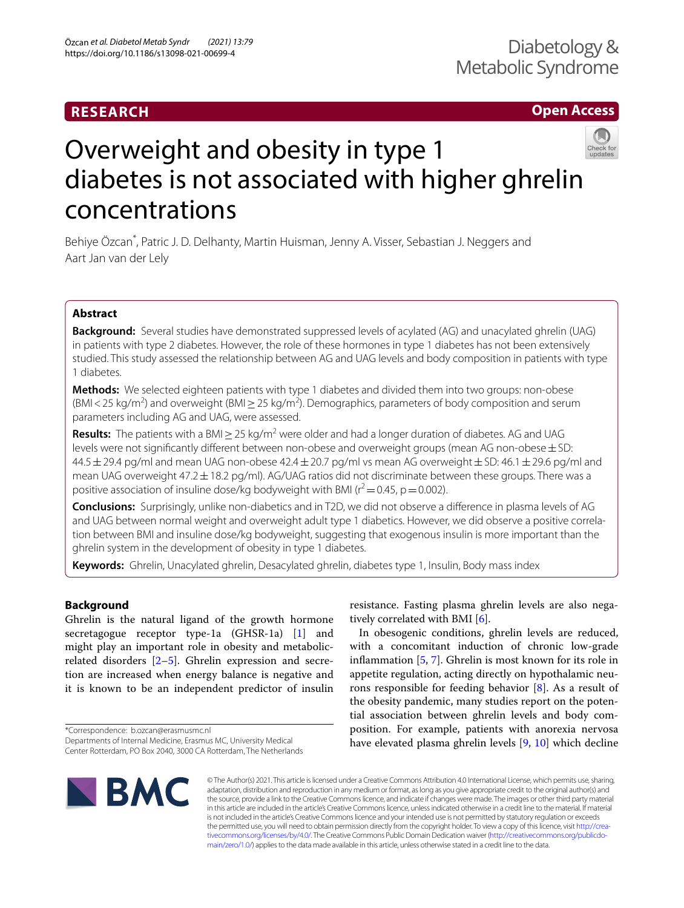# **RESEARCH**

# **Open Access**



# Overweight and obesity in type 1 diabetes is not associated with higher ghrelin concentrations

Behiye Özcan\* , Patric J. D. Delhanty, Martin Huisman, Jenny A. Visser, Sebastian J. Neggers and Aart Jan van der Lely

# **Abstract**

**Background:** Several studies have demonstrated suppressed levels of acylated (AG) and unacylated ghrelin (UAG) in patients with type 2 diabetes. However, the role of these hormones in type 1 diabetes has not been extensively studied. This study assessed the relationship between AG and UAG levels and body composition in patients with type 1 diabetes.

**Methods:** We selected eighteen patients with type 1 diabetes and divided them into two groups: non-obese (BMI < 25 kg/m<sup>2</sup>) and overweight (BMI  $\geq$  25 kg/m<sup>2</sup>). Demographics, parameters of body composition and serum parameters including AG and UAG, were assessed.

**Results:** The patients with a BMI ≥ 25 kg/m<sup>2</sup> were older and had a longer duration of diabetes. AG and UAG levels were not significantly different between non-obese and overweight groups (mean AG non-obese  $\pm$  SD:  $44.5 \pm 29.4$  pg/ml and mean UAG non-obese  $42.4 \pm 20.7$  pg/ml vs mean AG overweight  $\pm$  SD:  $46.1 \pm 29.6$  pg/ml and mean UAG overweight 47.2 ± 18.2 pg/ml). AG/UAG ratios did not discriminate between these groups. There was a positive association of insuline dose/kg bodyweight with BMI ( $r^2$  = 0.45, p = 0.002).

**Conclusions:** Surprisingly, unlike non-diabetics and in T2D, we did not observe a diference in plasma levels of AG and UAG between normal weight and overweight adult type 1 diabetics. However, we did observe a positive correlation between BMI and insuline dose/kg bodyweight, suggesting that exogenous insulin is more important than the ghrelin system in the development of obesity in type 1 diabetes.

**Keywords:** Ghrelin, Unacylated ghrelin, Desacylated ghrelin, diabetes type 1, Insulin, Body mass index

# **Background**

Ghrelin is the natural ligand of the growth hormone secretagogue receptor type-1a (GHSR-1a) [\[1](#page-5-0)] and might play an important role in obesity and metabolicrelated disorders [\[2](#page-5-1)[–5](#page-5-2)]. Ghrelin expression and secretion are increased when energy balance is negative and it is known to be an independent predictor of insulin

\*Correspondence: b.ozcan@erasmusmc.nl

resistance. Fasting plasma ghrelin levels are also negatively correlated with BMI [\[6\]](#page-5-3).

In obesogenic conditions, ghrelin levels are reduced, with a concomitant induction of chronic low-grade infammation [[5,](#page-5-2) [7](#page-5-4)]. Ghrelin is most known for its role in appetite regulation, acting directly on hypothalamic neurons responsible for feeding behavior [[8\]](#page-5-5). As a result of the obesity pandemic, many studies report on the potential association between ghrelin levels and body composition. For example, patients with anorexia nervosa have elevated plasma ghrelin levels [\[9](#page-5-6), [10](#page-5-7)] which decline



© The Author(s) 2021. This article is licensed under a Creative Commons Attribution 4.0 International License, which permits use, sharing, adaptation, distribution and reproduction in any medium or format, as long as you give appropriate credit to the original author(s) and the source, provide a link to the Creative Commons licence, and indicate if changes were made. The images or other third party material in this article are included in the article's Creative Commons licence, unless indicated otherwise in a credit line to the material. If material is not included in the article's Creative Commons licence and your intended use is not permitted by statutory regulation or exceeds the permitted use, you will need to obtain permission directly from the copyright holder. To view a copy of this licence, visit [http://crea](http://creativecommons.org/licenses/by/4.0/)[tivecommons.org/licenses/by/4.0/.](http://creativecommons.org/licenses/by/4.0/) The Creative Commons Public Domain Dedication waiver ([http://creativecommons.org/publicdo](http://creativecommons.org/publicdomain/zero/1.0/)[main/zero/1.0/\)](http://creativecommons.org/publicdomain/zero/1.0/) applies to the data made available in this article, unless otherwise stated in a credit line to the data.

Departments of Internal Medicine, Erasmus MC, University Medical Center Rotterdam, PO Box 2040, 3000 CA Rotterdam, The Netherlands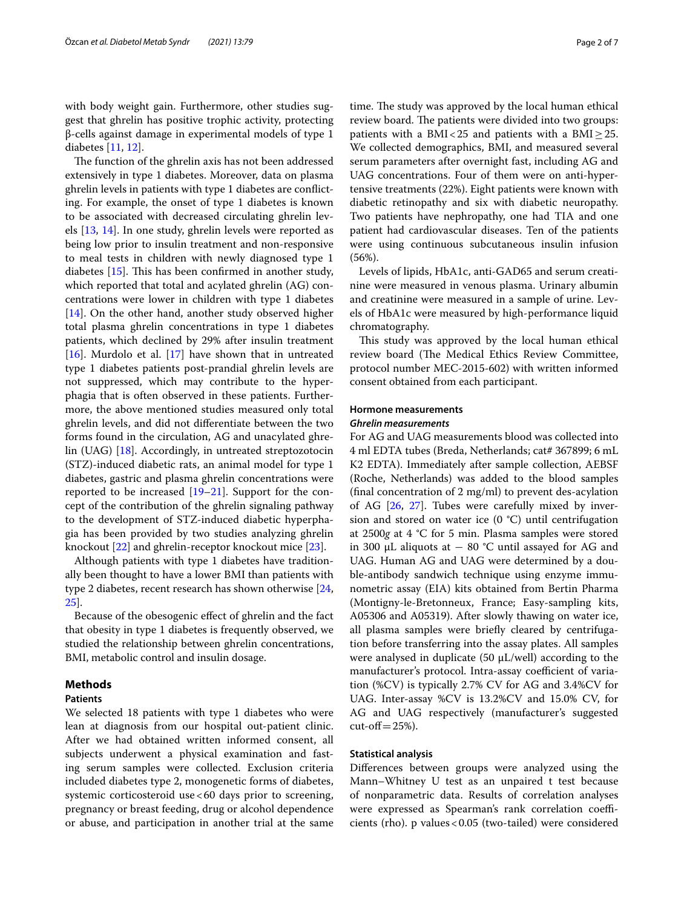with body weight gain. Furthermore, other studies suggest that ghrelin has positive trophic activity, protecting β-cells against damage in experimental models of type 1 diabetes [[11,](#page-5-8) [12](#page-5-9)].

The function of the ghrelin axis has not been addressed extensively in type 1 diabetes. Moreover, data on plasma ghrelin levels in patients with type 1 diabetes are conficting. For example, the onset of type 1 diabetes is known to be associated with decreased circulating ghrelin levels [[13,](#page-5-10) [14\]](#page-5-11). In one study, ghrelin levels were reported as being low prior to insulin treatment and non-responsive to meal tests in children with newly diagnosed type 1 diabetes  $[15]$  $[15]$  $[15]$ . This has been confirmed in another study, which reported that total and acylated ghrelin (AG) concentrations were lower in children with type 1 diabetes [[14\]](#page-5-11). On the other hand, another study observed higher total plasma ghrelin concentrations in type 1 diabetes patients, which declined by 29% after insulin treatment [[16\]](#page-5-13). Murdolo et al.  $[17]$  $[17]$  have shown that in untreated type 1 diabetes patients post-prandial ghrelin levels are not suppressed, which may contribute to the hyperphagia that is often observed in these patients. Furthermore, the above mentioned studies measured only total ghrelin levels, and did not diferentiate between the two forms found in the circulation, AG and unacylated ghrelin (UAG) [\[18](#page-5-15)]. Accordingly, in untreated streptozotocin (STZ)-induced diabetic rats, an animal model for type 1 diabetes, gastric and plasma ghrelin concentrations were reported to be increased  $[19-21]$  $[19-21]$  $[19-21]$ . Support for the concept of the contribution of the ghrelin signaling pathway to the development of STZ-induced diabetic hyperphagia has been provided by two studies analyzing ghrelin knockout [[22\]](#page-5-18) and ghrelin-receptor knockout mice [\[23\]](#page-5-19).

Although patients with type 1 diabetes have traditionally been thought to have a lower BMI than patients with type 2 diabetes, recent research has shown otherwise [\[24](#page-5-20), [25\]](#page-5-21).

Because of the obesogenic efect of ghrelin and the fact that obesity in type 1 diabetes is frequently observed, we studied the relationship between ghrelin concentrations, BMI, metabolic control and insulin dosage.

# **Methods**

# **Patients**

We selected 18 patients with type 1 diabetes who were lean at diagnosis from our hospital out-patient clinic. After we had obtained written informed consent, all subjects underwent a physical examination and fasting serum samples were collected. Exclusion criteria included diabetes type 2, monogenetic forms of diabetes, systemic corticosteroid use<60 days prior to screening, pregnancy or breast feeding, drug or alcohol dependence or abuse, and participation in another trial at the same time. The study was approved by the local human ethical review board. The patients were divided into two groups: patients with a BMI<25 and patients with a BMI $\geq$ 25. We collected demographics, BMI, and measured several serum parameters after overnight fast, including AG and UAG concentrations. Four of them were on anti-hypertensive treatments (22%). Eight patients were known with diabetic retinopathy and six with diabetic neuropathy. Two patients have nephropathy, one had TIA and one patient had cardiovascular diseases. Ten of the patients were using continuous subcutaneous insulin infusion (56%).

Levels of lipids, HbA1c, anti-GAD65 and serum creatinine were measured in venous plasma. Urinary albumin and creatinine were measured in a sample of urine. Levels of HbA1c were measured by high-performance liquid chromatography.

This study was approved by the local human ethical review board (The Medical Ethics Review Committee, protocol number MEC-2015-602) with written informed consent obtained from each participant.

# **Hormone measurements** *Ghrelin measurements*

For AG and UAG measurements blood was collected into 4 ml EDTA tubes (Breda, Netherlands; cat# 367899; 6 mL K2 EDTA). Immediately after sample collection, AEBSF (Roche, Netherlands) was added to the blood samples (fnal concentration of 2 mg/ml) to prevent des-acylation of AG [[26](#page-5-22), [27](#page-5-23)]. Tubes were carefully mixed by inversion and stored on water ice  $(0 \degree C)$  until centrifugation at 2500*g* at 4 °C for 5 min. Plasma samples were stored in 300 µL aliquots at  $-$  80 °C until assayed for AG and UAG. Human AG and UAG were determined by a double-antibody sandwich technique using enzyme immunometric assay (EIA) kits obtained from Bertin Pharma (Montigny-le-Bretonneux, France; Easy-sampling kits, A05306 and A05319). After slowly thawing on water ice, all plasma samples were briefy cleared by centrifugation before transferring into the assay plates. All samples were analysed in duplicate (50 µL/well) according to the manufacturer's protocol. Intra-assay coefficient of variation (%CV) is typically 2.7% CV for AG and 3.4%CV for UAG. Inter-assay %CV is 13.2%CV and 15.0% CV, for AG and UAG respectively (manufacturer's suggested  $cut-off = 25\%).$ 

# **Statistical analysis**

Diferences between groups were analyzed using the Mann–Whitney U test as an unpaired t test because of nonparametric data. Results of correlation analyses were expressed as Spearman's rank correlation coefficients (rho). p values<0.05 (two-tailed) were considered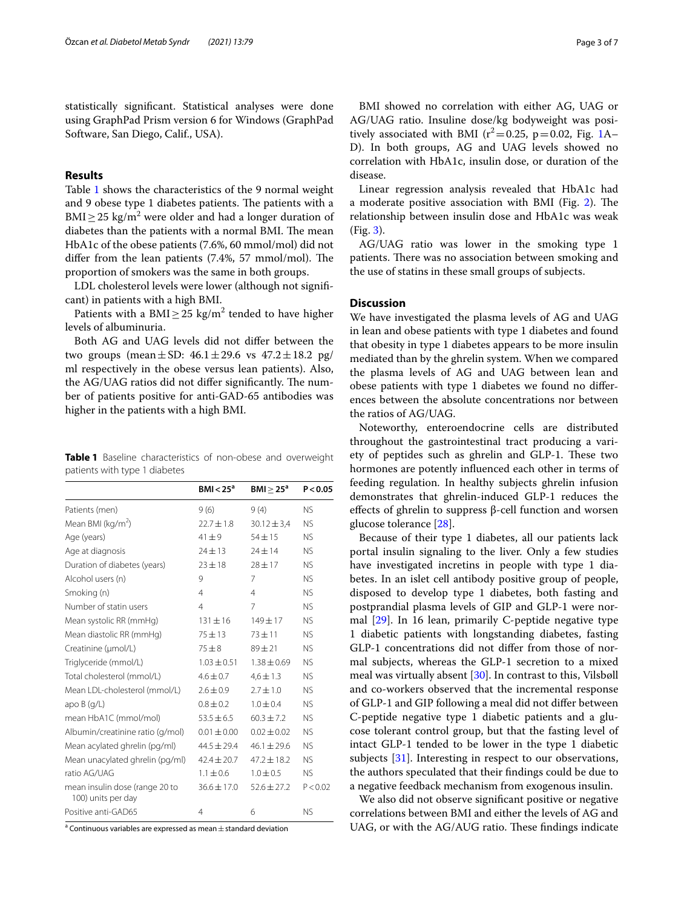statistically signifcant. Statistical analyses were done using GraphPad Prism version 6 for Windows (GraphPad Software, San Diego, Calif., USA).

# **Results**

Table [1](#page-2-0) shows the characteristics of the 9 normal weight and 9 obese type 1 diabetes patients. The patients with a BMI  $\geq$  25 kg/m<sup>2</sup> were older and had a longer duration of diabetes than the patients with a normal BMI. The mean HbA1c of the obese patients (7.6%, 60 mmol/mol) did not differ from the lean patients  $(7.4\%, 57 \text{ mmol/mol})$ . The proportion of smokers was the same in both groups.

LDL cholesterol levels were lower (although not signifcant) in patients with a high BMI.

Patients with a  $\text{BMI} \geq 25 \text{ kg/m}^2$  tended to have higher levels of albuminuria.

Both AG and UAG levels did not difer between the two groups (mean  $\pm$  SD: 46.1  $\pm$  29.6 vs 47.2  $\pm$  18.2 pg/ ml respectively in the obese versus lean patients). Also, the AG/UAG ratios did not differ significantly. The number of patients positive for anti-GAD-65 antibodies was higher in the patients with a high BMI.

<span id="page-2-0"></span>**Table 1** Baseline characteristics of non-obese and overweight patients with type 1 diabetes

|                                                      | BMI < 25 <sup>a</sup> | BMI > 25 <sup>a</sup> | P < 0.05       |
|------------------------------------------------------|-----------------------|-----------------------|----------------|
| Patients (men)                                       | 9(6)                  | 9(4)                  | <b>NS</b>      |
| Mean BMI (kg/m <sup>2</sup> )                        | $22.7 \pm 1.8$        | $30.12 \pm 3.4$       | <b>NS</b>      |
| Age (years)                                          | $41 + 9$              | $54 \pm 15$           | <b>NS</b>      |
| Age at diagnosis                                     | $24 \pm 13$           | $24 \pm 14$           | N <sub>S</sub> |
| Duration of diabetes (years)                         | $23 \pm 18$           | $28 \pm 17$           | NS.            |
| Alcohol users (n)                                    | 9                     | 7                     | <b>NS</b>      |
| Smoking (n)                                          | $\overline{4}$        | $\overline{4}$        | <b>NS</b>      |
| Number of statin users                               | $\overline{4}$        | 7                     | <b>NS</b>      |
| Mean systolic RR (mmHq)                              | $131 \pm 16$          | $149 + 17$            | <b>NS</b>      |
| Mean diastolic RR (mmHg)                             | $75 + 13$             | $73 + 11$             | <b>NS</b>      |
| Creatinine (µmol/L)                                  | $75 + 8$              | $89 + 21$             | <b>NS</b>      |
| Triglyceride (mmol/L)                                | $1.03 \pm 0.51$       | $1.38 \pm 0.69$       | <b>NS</b>      |
| Total cholesterol (mmol/L)                           | $4.6 \pm 0.7$         | $4.6 \pm 1.3$         | <b>NS</b>      |
| Mean LDL-cholesterol (mmol/L)                        | $2.6 \pm 0.9$         | $2.7 + 1.0$           | <b>NS</b>      |
| apo $B(q/L)$                                         | $0.8 \pm 0.2$         | $1.0 \pm 0.4$         | <b>NS</b>      |
| mean HbA1C (mmol/mol)                                | $53.5 \pm 6.5$        | $60.3 \pm 7.2$        | <b>NS</b>      |
| Albumin/creatinine ratio (g/mol)                     | $0.01 \pm 0.00$       | $0.02 \pm 0.02$       | <b>NS</b>      |
| Mean acylated ghrelin (pg/ml)                        | $44.5 \pm 29.4$       | $46.1 \pm 29.6$       | <b>NS</b>      |
| Mean unacylated ghrelin (pg/ml)                      | $42.4 \pm 20.7$       | $47.2 \pm 18.2$       | <b>NS</b>      |
| ratio AG/UAG                                         | $1.1 \pm 0.6$         | $1.0 \pm 0.5$         | <b>NS</b>      |
| mean insulin dose (range 20 to<br>100) units per day | $36.6 \pm 17.0$       | $52.6 \pm 27.2$       | P < 0.02       |
| Positive anti-GAD65                                  | 4                     | 6                     | <b>NS</b>      |

 $^{\mathrm{a}}$  Continuous variables are expressed as mean  $\pm$  standard deviation

BMI showed no correlation with either AG, UAG or AG/UAG ratio. Insuline dose/kg bodyweight was positively associated with BMI ( $r^2$ =0.25, p=0.02, Fig. [1A](#page-3-0)– D). In both groups, AG and UAG levels showed no correlation with HbA1c, insulin dose, or duration of the disease.

Linear regression analysis revealed that HbA1c had a moderate positive association with BMI (Fig. [2\)](#page-3-1). The relationship between insulin dose and HbA1c was weak (Fig. [3\)](#page-3-2).

AG/UAG ratio was lower in the smoking type 1 patients. There was no association between smoking and the use of statins in these small groups of subjects.

# **Discussion**

We have investigated the plasma levels of AG and UAG in lean and obese patients with type 1 diabetes and found that obesity in type 1 diabetes appears to be more insulin mediated than by the ghrelin system. When we compared the plasma levels of AG and UAG between lean and obese patients with type 1 diabetes we found no diferences between the absolute concentrations nor between the ratios of AG/UAG.

Noteworthy, enteroendocrine cells are distributed throughout the gastrointestinal tract producing a variety of peptides such as ghrelin and GLP-1. These two hormones are potently infuenced each other in terms of feeding regulation. In healthy subjects ghrelin infusion demonstrates that ghrelin-induced GLP-1 reduces the efects of ghrelin to suppress β-cell function and worsen glucose tolerance [[28\]](#page-5-24).

Because of their type 1 diabetes, all our patients lack portal insulin signaling to the liver. Only a few studies have investigated incretins in people with type 1 diabetes. In an islet cell antibody positive group of people, disposed to develop type 1 diabetes, both fasting and postprandial plasma levels of GIP and GLP-1 were normal [\[29\]](#page-5-25). In 16 lean, primarily C-peptide negative type 1 diabetic patients with longstanding diabetes, fasting GLP-1 concentrations did not difer from those of normal subjects, whereas the GLP-1 secretion to a mixed meal was virtually absent [[30\]](#page-5-26). In contrast to this, Vilsbøll and co-workers observed that the incremental response of GLP-1 and GIP following a meal did not difer between C-peptide negative type 1 diabetic patients and a glucose tolerant control group, but that the fasting level of intact GLP-1 tended to be lower in the type 1 diabetic subjects [\[31](#page-5-27)]. Interesting in respect to our observations, the authors speculated that their fndings could be due to a negative feedback mechanism from exogenous insulin.

We also did not observe signifcant positive or negative correlations between BMI and either the levels of AG and UAG, or with the AG/AUG ratio. These findings indicate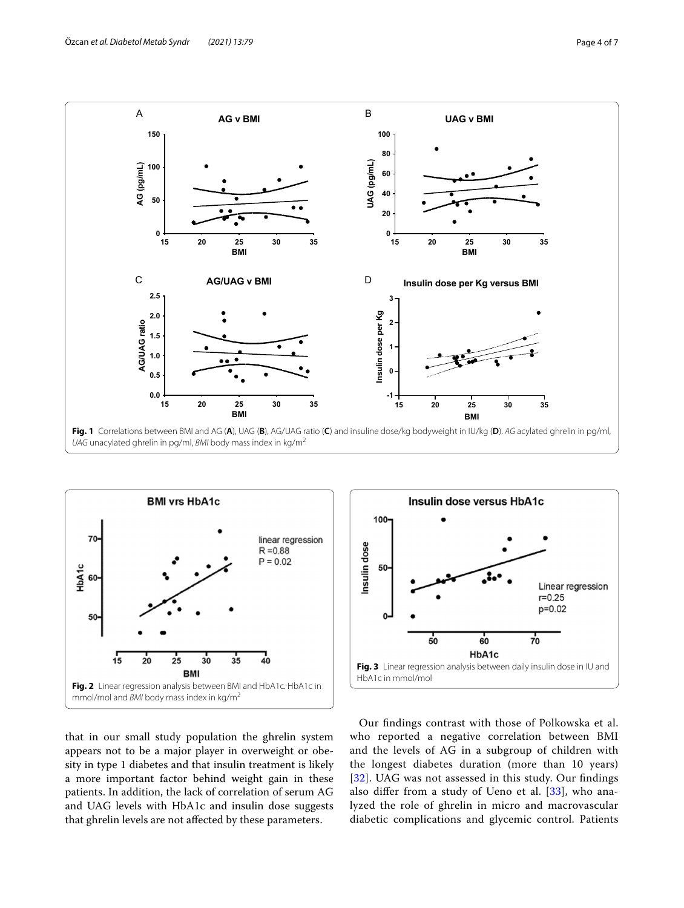

<span id="page-3-0"></span>

<span id="page-3-1"></span>that in our small study population the ghrelin system appears not to be a major player in overweight or obesity in type 1 diabetes and that insulin treatment is likely a more important factor behind weight gain in these patients. In addition, the lack of correlation of serum AG and UAG levels with HbA1c and insulin dose suggests that ghrelin levels are not afected by these parameters.



<span id="page-3-2"></span>Our fndings contrast with those of Polkowska et al. who reported a negative correlation between BMI and the levels of AG in a subgroup of children with the longest diabetes duration (more than 10 years) [[32](#page-5-28)]. UAG was not assessed in this study. Our fndings also difer from a study of Ueno et al. [[33\]](#page-5-29), who analyzed the role of ghrelin in micro and macrovascular diabetic complications and glycemic control. Patients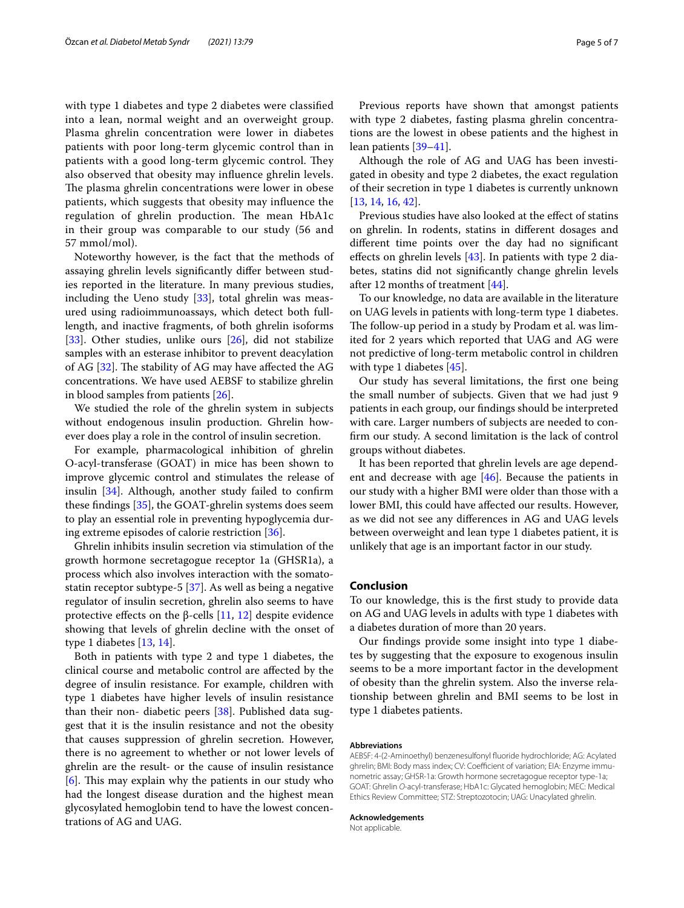with type 1 diabetes and type 2 diabetes were classifed into a lean, normal weight and an overweight group. Plasma ghrelin concentration were lower in diabetes patients with poor long-term glycemic control than in patients with a good long-term glycemic control. They also observed that obesity may infuence ghrelin levels. The plasma ghrelin concentrations were lower in obese patients, which suggests that obesity may infuence the regulation of ghrelin production. The mean HbA1c in their group was comparable to our study (56 and 57 mmol/mol).

Noteworthy however, is the fact that the methods of assaying ghrelin levels signifcantly difer between studies reported in the literature. In many previous studies, including the Ueno study  $[33]$  $[33]$  $[33]$ , total ghrelin was measured using radioimmunoassays, which detect both fulllength, and inactive fragments, of both ghrelin isoforms [[33\]](#page-5-29). Other studies, unlike ours  $[26]$  $[26]$ , did not stabilize samples with an esterase inhibitor to prevent deacylation of AG  $[32]$  $[32]$ . The stability of AG may have affected the AG concentrations. We have used AEBSF to stabilize ghrelin in blood samples from patients [\[26](#page-5-22)].

We studied the role of the ghrelin system in subjects without endogenous insulin production. Ghrelin however does play a role in the control of insulin secretion.

For example, pharmacological inhibition of ghrelin O-acyl-transferase (GOAT) in mice has been shown to improve glycemic control and stimulates the release of insulin [[34\]](#page-5-30). Although, another study failed to confrm these fndings [[35\]](#page-6-0), the GOAT-ghrelin systems does seem to play an essential role in preventing hypoglycemia during extreme episodes of calorie restriction [\[36](#page-6-1)].

Ghrelin inhibits insulin secretion via stimulation of the growth hormone secretagogue receptor 1a (GHSR1a), a process which also involves interaction with the somatostatin receptor subtype-5 [[37\]](#page-6-2). As well as being a negative regulator of insulin secretion, ghrelin also seems to have protective effects on the β-cells  $[11, 12]$  $[11, 12]$  $[11, 12]$  $[11, 12]$  despite evidence showing that levels of ghrelin decline with the onset of type 1 diabetes [\[13,](#page-5-10) [14](#page-5-11)].

Both in patients with type 2 and type 1 diabetes, the clinical course and metabolic control are afected by the degree of insulin resistance. For example, children with type 1 diabetes have higher levels of insulin resistance than their non- diabetic peers [[38](#page-6-3)]. Published data suggest that it is the insulin resistance and not the obesity that causes suppression of ghrelin secretion. However, there is no agreement to whether or not lower levels of ghrelin are the result- or the cause of insulin resistance  $[6]$  $[6]$ . This may explain why the patients in our study who had the longest disease duration and the highest mean glycosylated hemoglobin tend to have the lowest concentrations of AG and UAG.

Previous reports have shown that amongst patients with type 2 diabetes, fasting plasma ghrelin concentrations are the lowest in obese patients and the highest in lean patients [\[39–](#page-6-4)[41\]](#page-6-5).

Although the role of AG and UAG has been investigated in obesity and type 2 diabetes, the exact regulation of their secretion in type 1 diabetes is currently unknown [[13,](#page-5-10) [14](#page-5-11), [16,](#page-5-13) [42\]](#page-6-6).

Previous studies have also looked at the effect of statins on ghrelin. In rodents, statins in diferent dosages and diferent time points over the day had no signifcant effects on ghrelin levels  $[43]$  $[43]$ . In patients with type 2 diabetes, statins did not signifcantly change ghrelin levels after 12 months of treatment [[44\]](#page-6-8).

To our knowledge, no data are available in the literature on UAG levels in patients with long-term type 1 diabetes. The follow-up period in a study by Prodam et al. was limited for 2 years which reported that UAG and AG were not predictive of long-term metabolic control in children with type 1 diabetes [[45\]](#page-6-9).

Our study has several limitations, the frst one being the small number of subjects. Given that we had just 9 patients in each group, our fndings should be interpreted with care. Larger numbers of subjects are needed to confrm our study. A second limitation is the lack of control groups without diabetes.

It has been reported that ghrelin levels are age dependent and decrease with age [[46\]](#page-6-10). Because the patients in our study with a higher BMI were older than those with a lower BMI, this could have afected our results. However, as we did not see any diferences in AG and UAG levels between overweight and lean type 1 diabetes patient, it is unlikely that age is an important factor in our study.

## **Conclusion**

To our knowledge, this is the frst study to provide data on AG and UAG levels in adults with type 1 diabetes with a diabetes duration of more than 20 years.

Our fndings provide some insight into type 1 diabetes by suggesting that the exposure to exogenous insulin seems to be a more important factor in the development of obesity than the ghrelin system. Also the inverse relationship between ghrelin and BMI seems to be lost in type 1 diabetes patients.

#### **Abbreviations**

AEBSF: 4-(2-Aminoethyl) benzenesulfonyl fuoride hydrochloride; AG: Acylated ghrelin; BMI: Body mass index; CV: Coefficient of variation; EIA: Enzyme immunometric assay; GHSR-1a: Growth hormone secretagogue receptor type-1a; GOAT: Ghrelin *O*-acyl-transferase; HbA1c: Glycated hemoglobin; MEC: Medical Ethics Review Committee; STZ: Streptozotocin; UAG: Unacylated ghrelin.

#### **Acknowledgements**

Not applicable.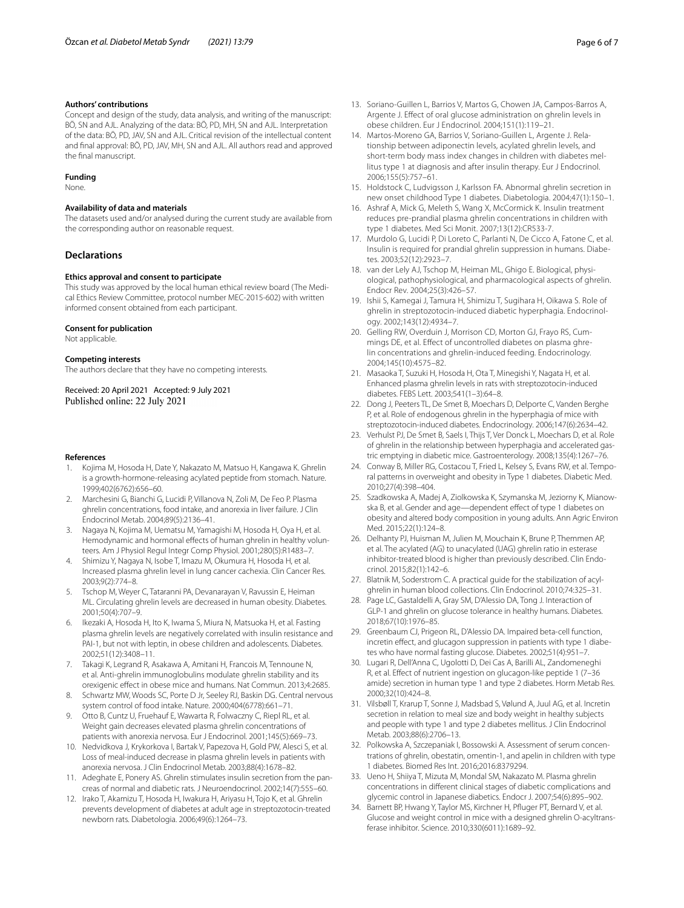## **Authors' contributions**

Concept and design of the study, data analysis, and writing of the manuscript: BÖ, SN and AJL. Analyzing of the data: BÖ, PD, MH, SN and AJL. Interpretation of the data: BÖ, PD, JAV, SN and AJL. Critical revision of the intellectual content and fnal approval: BÖ, PD, JAV, MH, SN and AJL. All authors read and approved the fnal manuscript.

#### **Funding**

None.

#### **Availability of data and materials**

The datasets used and/or analysed during the current study are available from the corresponding author on reasonable request.

# **Declarations**

#### **Ethics approval and consent to participate**

This study was approved by the local human ethical review board (The Medical Ethics Review Committee, protocol number MEC-2015-602) with written informed consent obtained from each participant.

## **Consent for publication**

Not applicable.

## **Competing interests**

The authors declare that they have no competing interests.

Received: 20 April 2021 Accepted: 9 July 2021 Published online: 22 July 2021

#### **References**

- <span id="page-5-0"></span>1. Kojima M, Hosoda H, Date Y, Nakazato M, Matsuo H, Kangawa K. Ghrelin is a growth-hormone-releasing acylated peptide from stomach. Nature. 1999;402(6762):656–60.
- <span id="page-5-1"></span>2. Marchesini G, Bianchi G, Lucidi P, Villanova N, Zoli M, De Feo P. Plasma ghrelin concentrations, food intake, and anorexia in liver failure. J Clin Endocrinol Metab. 2004;89(5):2136–41.
- 3. Nagaya N, Kojima M, Uematsu M, Yamagishi M, Hosoda H, Oya H, et al. Hemodynamic and hormonal effects of human ghrelin in healthy volunteers. Am J Physiol Regul Integr Comp Physiol. 2001;280(5):R1483–7.
- 4. Shimizu Y, Nagaya N, Isobe T, Imazu M, Okumura H, Hosoda H, et al. Increased plasma ghrelin level in lung cancer cachexia. Clin Cancer Res. 2003;9(2):774–8.
- <span id="page-5-2"></span>5. Tschop M, Weyer C, Tataranni PA, Devanarayan V, Ravussin E, Heiman ML. Circulating ghrelin levels are decreased in human obesity. Diabetes. 2001;50(4):707–9.
- <span id="page-5-3"></span>6. Ikezaki A, Hosoda H, Ito K, Iwama S, Miura N, Matsuoka H, et al. Fasting plasma ghrelin levels are negatively correlated with insulin resistance and PAI-1, but not with leptin, in obese children and adolescents. Diabetes. 2002;51(12):3408–11.
- <span id="page-5-4"></span>7. Takagi K, Legrand R, Asakawa A, Amitani H, Francois M, Tennoune N, et al. Anti-ghrelin immunoglobulins modulate ghrelin stability and its orexigenic efect in obese mice and humans. Nat Commun. 2013;4:2685.
- <span id="page-5-5"></span>8. Schwartz MW, Woods SC, Porte D Jr, Seeley RJ, Baskin DG. Central nervous system control of food intake. Nature. 2000;404(6778):661–71.
- <span id="page-5-6"></span>9. Otto B, Cuntz U, Fruehauf E, Wawarta R, Folwaczny C, Riepl RL, et al. Weight gain decreases elevated plasma ghrelin concentrations of patients with anorexia nervosa. Eur J Endocrinol. 2001;145(5):669–73.
- <span id="page-5-7"></span>10. Nedvidkova J, Krykorkova I, Bartak V, Papezova H, Gold PW, Alesci S, et al. Loss of meal-induced decrease in plasma ghrelin levels in patients with anorexia nervosa. J Clin Endocrinol Metab. 2003;88(4):1678–82.
- <span id="page-5-8"></span>11. Adeghate E, Ponery AS. Ghrelin stimulates insulin secretion from the pancreas of normal and diabetic rats. J Neuroendocrinol. 2002;14(7):555–60.
- <span id="page-5-9"></span>12. Irako T, Akamizu T, Hosoda H, Iwakura H, Ariyasu H, Tojo K, et al. Ghrelin prevents development of diabetes at adult age in streptozotocin-treated newborn rats. Diabetologia. 2006;49(6):1264–73.
- <span id="page-5-10"></span>13. Soriano-Guillen L, Barrios V, Martos G, Chowen JA, Campos-Barros A, Argente J. Efect of oral glucose administration on ghrelin levels in obese children. Eur J Endocrinol. 2004;151(1):119–21.
- <span id="page-5-11"></span>14. Martos-Moreno GA, Barrios V, Soriano-Guillen L, Argente J. Relationship between adiponectin levels, acylated ghrelin levels, and short-term body mass index changes in children with diabetes mellitus type 1 at diagnosis and after insulin therapy. Eur J Endocrinol. 2006;155(5):757–61.
- <span id="page-5-12"></span>15. Holdstock C, Ludvigsson J, Karlsson FA. Abnormal ghrelin secretion in new onset childhood Type 1 diabetes. Diabetologia. 2004;47(1):150–1.
- <span id="page-5-13"></span>16. Ashraf A, Mick G, Meleth S, Wang X, McCormick K. Insulin treatment reduces pre-prandial plasma ghrelin concentrations in children with type 1 diabetes. Med Sci Monit. 2007;13(12):CR533-7.
- <span id="page-5-14"></span>17. Murdolo G, Lucidi P, Di Loreto C, Parlanti N, De Cicco A, Fatone C, et al. Insulin is required for prandial ghrelin suppression in humans. Diabetes. 2003;52(12):2923–7.
- <span id="page-5-15"></span>18. van der Lely AJ, Tschop M, Heiman ML, Ghigo E. Biological, physiological, pathophysiological, and pharmacological aspects of ghrelin. Endocr Rev. 2004;25(3):426–57.
- <span id="page-5-16"></span>19. Ishii S, Kamegai J, Tamura H, Shimizu T, Sugihara H, Oikawa S. Role of ghrelin in streptozotocin-induced diabetic hyperphagia. Endocrinology. 2002;143(12):4934–7.
- 20. Gelling RW, Overduin J, Morrison CD, Morton GJ, Frayo RS, Cummings DE, et al. Efect of uncontrolled diabetes on plasma ghrelin concentrations and ghrelin-induced feeding. Endocrinology. 2004;145(10):4575–82.
- <span id="page-5-17"></span>21. Masaoka T, Suzuki H, Hosoda H, Ota T, Minegishi Y, Nagata H, et al. Enhanced plasma ghrelin levels in rats with streptozotocin-induced diabetes. FEBS Lett. 2003;541(1–3):64–8.
- <span id="page-5-18"></span>22. Dong J, Peeters TL, De Smet B, Moechars D, Delporte C, Vanden Berghe P, et al. Role of endogenous ghrelin in the hyperphagia of mice with streptozotocin-induced diabetes. Endocrinology. 2006;147(6):2634–42.
- <span id="page-5-19"></span>23. Verhulst PJ, De Smet B, Saels I, Thijs T, Ver Donck L, Moechars D, et al. Role of ghrelin in the relationship between hyperphagia and accelerated gastric emptying in diabetic mice. Gastroenterology. 2008;135(4):1267–76.
- <span id="page-5-20"></span>24. Conway B, Miller RG, Costacou T, Fried L, Kelsey S, Evans RW, et al. Temporal patterns in overweight and obesity in Type 1 diabetes. Diabetic Med. 2010;27(4):398–404.
- <span id="page-5-21"></span>25. Szadkowska A, Madej A, Ziolkowska K, Szymanska M, Jeziorny K, Mianowska B, et al. Gender and age-dependent effect of type 1 diabetes on obesity and altered body composition in young adults. Ann Agric Environ Med. 2015;22(1):124–8.
- <span id="page-5-22"></span>26. Delhanty PJ, Huisman M, Julien M, Mouchain K, Brune P, Themmen AP, et al. The acylated (AG) to unacylated (UAG) ghrelin ratio in esterase inhibitor-treated blood is higher than previously described. Clin Endocrinol. 2015;82(1):142–6.
- <span id="page-5-23"></span>27. Blatnik M, Soderstrom C. A practical guide for the stabilization of acylghrelin in human blood collections. Clin Endocrinol. 2010;74:325–31.
- <span id="page-5-24"></span>28. Page LC, Gastaldelli A, Gray SM, D'Alessio DA, Tong J. Interaction of GLP-1 and ghrelin on glucose tolerance in healthy humans. Diabetes. 2018;67(10):1976–85.
- <span id="page-5-25"></span>29. Greenbaum CJ, Prigeon RL, D'Alessio DA. Impaired beta-cell function, incretin effect, and glucagon suppression in patients with type 1 diabetes who have normal fasting glucose. Diabetes. 2002;51(4):951–7.
- <span id="page-5-26"></span>30. Lugari R, Dell'Anna C, Ugolotti D, Dei Cas A, Barilli AL, Zandomeneghi R, et al. Efect of nutrient ingestion on glucagon-like peptide 1 (7–36 amide) secretion in human type 1 and type 2 diabetes. Horm Metab Res. 2000;32(10):424–8.
- <span id="page-5-27"></span>31. Vilsbøll T, Krarup T, Sonne J, Madsbad S, Vølund A, Juul AG, et al. Incretin secretion in relation to meal size and body weight in healthy subjects and people with type 1 and type 2 diabetes mellitus. J Clin Endocrinol Metab. 2003;88(6):2706–13.
- <span id="page-5-28"></span>32. Polkowska A, Szczepaniak I, Bossowski A. Assessment of serum concentrations of ghrelin, obestatin, omentin-1, and apelin in children with type 1 diabetes. Biomed Res Int. 2016;2016:8379294.
- <span id="page-5-29"></span>33. Ueno H, Shiiya T, Mizuta M, Mondal SM, Nakazato M. Plasma ghrelin concentrations in diferent clinical stages of diabetic complications and glycemic control in Japanese diabetics. Endocr J. 2007;54(6):895–902.
- <span id="page-5-30"></span>34. Barnett BP, Hwang Y, Taylor MS, Kirchner H, Pfuger PT, Bernard V, et al. Glucose and weight control in mice with a designed ghrelin O-acyltransferase inhibitor. Science. 2010;330(6011):1689–92.